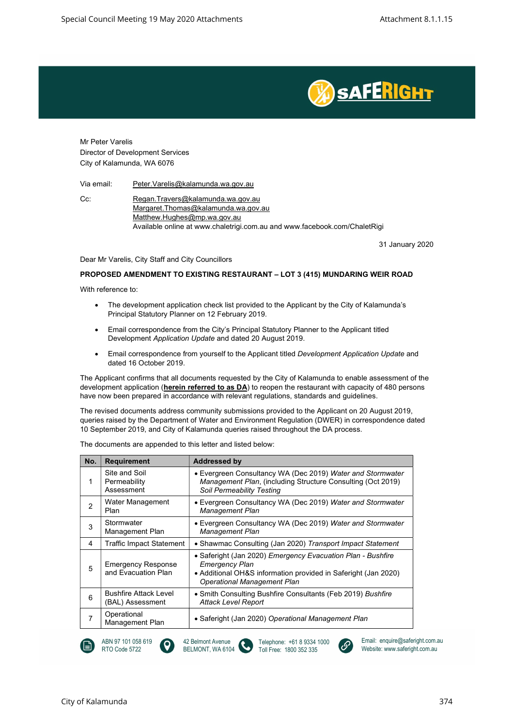

Mr Peter Varelis Director of Development Services City of Kalamunda, WA 6076

Via email: Peter.Varelis@kalamunda.wa.gov.au

Cc: Regan.Travers@kalamunda.wa.gov.au Margaret.Thomas@kalamunda.wa.gov.au Matthew.Hughes@mp.wa.gov.au Available online at www.chaletrigi.com.au and www.facebook.com/ChaletRigi

31 January 2020

Dear Mr Varelis, City Staff and City Councillors

#### PROPOSED AMENDMENT TO EXISTING RESTAURANT – LOT 3 (415) MUNDARING WEIR ROAD

With reference to:

- The development application check list provided to the Applicant by the City of Kalamunda's Principal Statutory Planner on 12 February 2019.
- Email correspondence from the City's Principal Statutory Planner to the Applicant titled Development Application Update and dated 20 August 2019.
- Email correspondence from yourself to the Applicant titled Development Application Update and dated 16 October 2019.

The Applicant confirms that all documents requested by the City of Kalamunda to enable assessment of the development application (**herein referred to as DA**) to reopen the restaurant with capacity of 480 persons have now been prepared in accordance with relevant regulations, standards and guidelines.

The revised documents address community submissions provided to the Applicant on 20 August 2019, queries raised by the Department of Water and Environment Regulation (DWER) in correspondence dated 10 September 2019, and City of Kalamunda queries raised throughout the DA process.

| <b>Requirement</b>                               | <b>Addressed by</b>                                                                                                                                                                          |
|--------------------------------------------------|----------------------------------------------------------------------------------------------------------------------------------------------------------------------------------------------|
| Site and Soil<br>Permeability<br>Assessment      | • Evergreen Consultancy WA (Dec 2019) Water and Stormwater<br>Management Plan, (including Structure Consulting (Oct 2019)<br>Soil Permeability Testing                                       |
| Water Management<br>Plan                         | • Evergreen Consultancy WA (Dec 2019) Water and Stormwater<br><b>Management Plan</b>                                                                                                         |
| Stormwater<br>Management Plan                    | • Evergreen Consultancy WA (Dec 2019) Water and Stormwater<br><b>Management Plan</b>                                                                                                         |
| <b>Traffic Impact Statement</b>                  | • Shawmac Consulting (Jan 2020) Transport Impact Statement                                                                                                                                   |
| <b>Emergency Response</b><br>and Evacuation Plan | • Saferight (Jan 2020) Emergency Evacuation Plan - Bushfire<br><b>Emergency Plan</b><br>• Additional OH&S information provided in Saferight (Jan 2020)<br><b>Operational Management Plan</b> |
| <b>Bushfire Attack Level</b><br>(BAL) Assessment | • Smith Consulting Bushfire Consultants (Feb 2019) Bushfire<br><b>Attack Level Report</b>                                                                                                    |
| Operational<br>Management Plan                   | • Saferight (Jan 2020) Operational Management Plan                                                                                                                                           |
|                                                  |                                                                                                                                                                                              |

Toll Free: 1800 352 335

42 Belmont Avenue BELMONT, WA 6104

The documents are appended to this letter and listed below:

RTO Code 5722

Website: www.saferight.com.au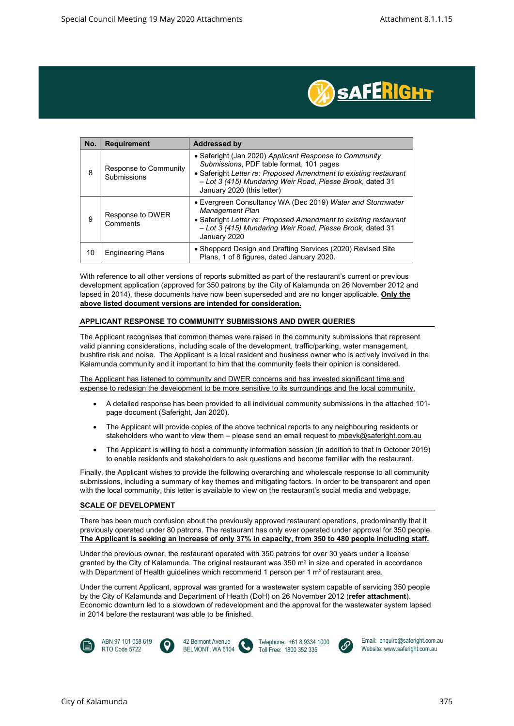

| No. | <b>Requirement</b>                   | <b>Addressed by</b>                                                                                                                                                                                                                                               |
|-----|--------------------------------------|-------------------------------------------------------------------------------------------------------------------------------------------------------------------------------------------------------------------------------------------------------------------|
| 8   | Response to Community<br>Submissions | • Saferight (Jan 2020) Applicant Response to Community<br>Submissions, PDF table format, 101 pages<br>• Saferight Letter re: Proposed Amendment to existing restaurant<br>- Lot 3 (415) Mundaring Weir Road, Piesse Brook, dated 31<br>January 2020 (this letter) |
| 9   | Response to DWER<br>Comments         | • Evergreen Consultancy WA (Dec 2019) Water and Stormwater<br><b>Management Plan</b><br>• Saferight Letter re: Proposed Amendment to existing restaurant<br>- Lot 3 (415) Mundaring Weir Road, Piesse Brook, dated 31<br>January 2020                             |
| 10  | <b>Engineering Plans</b>             | • Sheppard Design and Drafting Services (2020) Revised Site<br>Plans, 1 of 8 figures, dated January 2020.                                                                                                                                                         |

With reference to all other versions of reports submitted as part of the restaurant's current or previous development application (approved for 350 patrons by the City of Kalamunda on 26 November 2012 and lapsed in 2014), these documents have now been superseded and are no longer applicable. Only the above listed document versions are intended for consideration.

#### APPLICANT RESPONSE TO COMMUNITY SUBMISSIONS AND DWER QUERIES

The Applicant recognises that common themes were raised in the community submissions that represent valid planning considerations, including scale of the development, traffic/parking, water management, bushfire risk and noise. The Applicant is a local resident and business owner who is actively involved in the Kalamunda community and it important to him that the community feels their opinion is considered.

The Applicant has listened to community and DWER concerns and has invested significant time and expense to redesign the development to be more sensitive to its surroundings and the local community.

- A detailed response has been provided to all individual community submissions in the attached 101 page document (Saferight, Jan 2020).
- The Applicant will provide copies of the above technical reports to any neighbouring residents or stakeholders who want to view them – please send an email request to mbevk@saferight.com.au
- The Applicant is willing to host a community information session (in addition to that in October 2019) to enable residents and stakeholders to ask questions and become familiar with the restaurant.

Finally, the Applicant wishes to provide the following overarching and wholescale response to all community submissions, including a summary of key themes and mitigating factors. In order to be transparent and open with the local community, this letter is available to view on the restaurant's social media and webpage.

#### SCALE OF DEVELOPMENT

There has been much confusion about the previously approved restaurant operations, predominantly that it previously operated under 80 patrons. The restaurant has only ever operated under approval for 350 people. The Applicant is seeking an increase of only 37% in capacity, from 350 to 480 people including staff.

Under the previous owner, the restaurant operated with 350 patrons for over 30 years under a license granted by the City of Kalamunda. The original restaurant was 350  $\text{m}^2$  in size and operated in accordance with Department of Health guidelines which recommend 1 person per 1  $m<sup>2</sup>$  of restaurant area.

Under the current Applicant, approval was granted for a wastewater system capable of servicing 350 people by the City of Kalamunda and Department of Health (DoH) on 26 November 2012 (refer attachment). Economic downturn led to a slowdown of redevelopment and the approval for the wastewater system lapsed in 2014 before the restaurant was able to be finished.







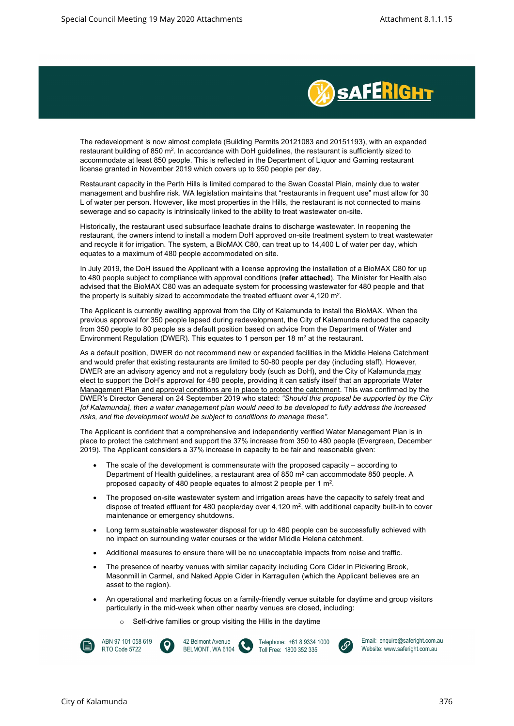

The redevelopment is now almost complete (Building Permits 20121083 and 20151193), with an expanded restaurant building of 850 m<sup>2</sup>. In accordance with DoH guidelines, the restaurant is sufficiently sized to accommodate at least 850 people. This is reflected in the Department of Liquor and Gaming restaurant license granted in November 2019 which covers up to 950 people per day.

Restaurant capacity in the Perth Hills is limited compared to the Swan Coastal Plain, mainly due to water management and bushfire risk. WA legislation maintains that "restaurants in frequent use" must allow for 30 L of water per person. However, like most properties in the Hills, the restaurant is not connected to mains sewerage and so capacity is intrinsically linked to the ability to treat wastewater on-site.

Historically, the restaurant used subsurface leachate drains to discharge wastewater. In reopening the restaurant, the owners intend to install a modern DoH approved on-site treatment system to treat wastewater and recycle it for irrigation. The system, a BioMAX C80, can treat up to 14,400 L of water per day, which equates to a maximum of 480 people accommodated on site.

In July 2019, the DoH issued the Applicant with a license approving the installation of a BioMAX C80 for up to 480 people subject to compliance with approval conditions (refer attached). The Minister for Health also advised that the BioMAX C80 was an adequate system for processing wastewater for 480 people and that the property is suitably sized to accommodate the treated effluent over  $4,120 \text{ m}^2$ .

The Applicant is currently awaiting approval from the City of Kalamunda to install the BioMAX. When the previous approval for 350 people lapsed during redevelopment, the City of Kalamunda reduced the capacity from 350 people to 80 people as a default position based on advice from the Department of Water and Environment Regulation (DWER). This equates to 1 person per 18  $m<sup>2</sup>$  at the restaurant.

As a default position, DWER do not recommend new or expanded facilities in the Middle Helena Catchment and would prefer that existing restaurants are limited to 50-80 people per day (including staff). However, DWER are an advisory agency and not a regulatory body (such as DoH), and the City of Kalamunda may elect to support the DoH's approval for 480 people, providing it can satisfy itself that an appropriate Water Management Plan and approval conditions are in place to protect the catchment. This was confirmed by the DWER's Director General on 24 September 2019 who stated: "Should this proposal be supported by the City [of Kalamunda], then a water management plan would need to be developed to fully address the increased risks, and the development would be subject to conditions to manage these".

The Applicant is confident that a comprehensive and independently verified Water Management Plan is in place to protect the catchment and support the 37% increase from 350 to 480 people (Evergreen, December 2019). The Applicant considers a 37% increase in capacity to be fair and reasonable given:

- The scale of the development is commensurate with the proposed capacity according to Department of Health guidelines, a restaurant area of 850  $m<sup>2</sup>$  can accommodate 850 people. A proposed capacity of 480 people equates to almost 2 people per 1 m<sup>2</sup>.
- The proposed on-site wastewater system and irrigation areas have the capacity to safely treat and dispose of treated effluent for 480 people/day over  $4,120 \text{ m}^2$ , with additional capacity built-in to cover maintenance or emergency shutdowns.
- Long term sustainable wastewater disposal for up to 480 people can be successfully achieved with no impact on surrounding water courses or the wider Middle Helena catchment.
- Additional measures to ensure there will be no unacceptable impacts from noise and traffic.
- The presence of nearby venues with similar capacity including Core Cider in Pickering Brook, Masonmill in Carmel, and Naked Apple Cider in Karragullen (which the Applicant believes are an asset to the region).
- An operational and marketing focus on a family-friendly venue suitable for daytime and group visitors particularly in the mid-week when other nearby venues are closed, including:
	- o Self-drive families or group visiting the Hills in the daytime



ABN 97 101 058 619 RTO Code 5722



Telephone: +61 8 9334 1000 Toll Free: 1800 352 335

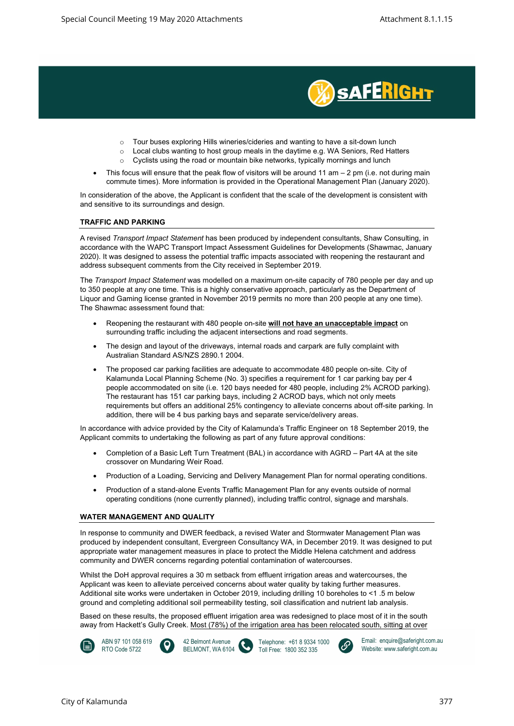

- o Tour buses exploring Hills wineries/cideries and wanting to have a sit-down lunch
- o Local clubs wanting to host group meals in the daytime e.g. WA Seniors, Red Hatters
- o Cyclists using the road or mountain bike networks, typically mornings and lunch
- This focus will ensure that the peak flow of visitors will be around 11 am  $-$  2 pm (i.e. not during main commute times). More information is provided in the Operational Management Plan (January 2020).

In consideration of the above, the Applicant is confident that the scale of the development is consistent with and sensitive to its surroundings and design.

#### TRAFFIC AND PARKING

A revised Transport Impact Statement has been produced by independent consultants, Shaw Consulting, in accordance with the WAPC Transport Impact Assessment Guidelines for Developments (Shawmac, January 2020). It was designed to assess the potential traffic impacts associated with reopening the restaurant and address subsequent comments from the City received in September 2019.

The Transport Impact Statement was modelled on a maximum on-site capacity of 780 people per day and up to 350 people at any one time. This is a highly conservative approach, particularly as the Department of Liquor and Gaming license granted in November 2019 permits no more than 200 people at any one time). The Shawmac assessment found that:

- Reopening the restaurant with 480 people on-site will not have an unacceptable impact on surrounding traffic including the adjacent intersections and road segments.
- The design and layout of the driveways, internal roads and carpark are fully complaint with Australian Standard AS/NZS 2890.1 2004.
- The proposed car parking facilities are adequate to accommodate 480 people on-site. City of Kalamunda Local Planning Scheme (No. 3) specifies a requirement for 1 car parking bay per 4 people accommodated on site (i.e. 120 bays needed for 480 people, including 2% ACROD parking). The restaurant has 151 car parking bays, including 2 ACROD bays, which not only meets requirements but offers an additional 25% contingency to alleviate concerns about off-site parking. In addition, there will be 4 bus parking bays and separate service/delivery areas.

In accordance with advice provided by the City of Kalamunda's Traffic Engineer on 18 September 2019, the Applicant commits to undertaking the following as part of any future approval conditions:

- Completion of a Basic Left Turn Treatment (BAL) in accordance with AGRD Part 4A at the site crossover on Mundaring Weir Road.
- Production of a Loading, Servicing and Delivery Management Plan for normal operating conditions.
- Production of a stand-alone Events Traffic Management Plan for any events outside of normal operating conditions (none currently planned), including traffic control, signage and marshals.

#### WATER MANAGEMENT AND QUALITY

In response to community and DWER feedback, a revised Water and Stormwater Management Plan was produced by independent consultant, Evergreen Consultancy WA, in December 2019. It was designed to put appropriate water management measures in place to protect the Middle Helena catchment and address community and DWER concerns regarding potential contamination of watercourses.

Whilst the DoH approval requires a 30 m setback from effluent irrigation areas and watercourses, the Applicant was keen to alleviate perceived concerns about water quality by taking further measures. Additional site works were undertaken in October 2019, including drilling 10 boreholes to <1 .5 m below ground and completing additional soil permeability testing, soil classification and nutrient lab analysis.

Based on these results, the proposed effluent irrigation area was redesigned to place most of it in the south away from Hackett's Gully Creek. Most (78%) of the irrigation area has been relocated south, sitting at over









 $\epsilon$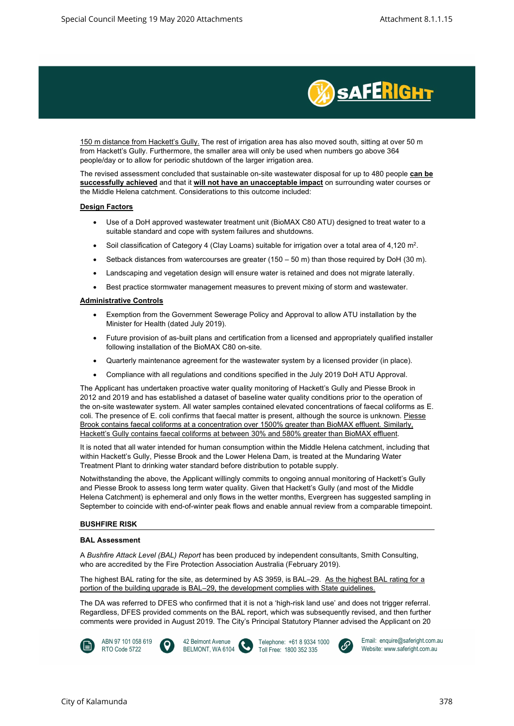

150 m distance from Hackett's Gully. The rest of irrigation area has also moved south, sitting at over 50 m from Hackett's Gully. Furthermore, the smaller area will only be used when numbers go above 364 people/day or to allow for periodic shutdown of the larger irrigation area.

The revised assessment concluded that sustainable on-site wastewater disposal for up to 480 people **can be** successfully achieved and that it will not have an unacceptable impact on surrounding water courses or the Middle Helena catchment. Considerations to this outcome included:

#### Design Factors

- Use of a DoH approved wastewater treatment unit (BioMAX C80 ATU) designed to treat water to a suitable standard and cope with system failures and shutdowns.
- $\bullet$  Soil classification of Category 4 (Clay Loams) suitable for irrigation over a total area of 4,120 m<sup>2</sup>.
- Setback distances from watercourses are greater  $(150 50 \text{ m})$  than those required by DoH  $(30 \text{ m})$ .
- Landscaping and vegetation design will ensure water is retained and does not migrate laterally.
- Best practice stormwater management measures to prevent mixing of storm and wastewater.

#### Administrative Controls

- Exemption from the Government Sewerage Policy and Approval to allow ATU installation by the Minister for Health (dated July 2019).
- Future provision of as-built plans and certification from a licensed and appropriately qualified installer following installation of the BioMAX C80 on-site.
- Quarterly maintenance agreement for the wastewater system by a licensed provider (in place).
- Compliance with all regulations and conditions specified in the July 2019 DoH ATU Approval.

The Applicant has undertaken proactive water quality monitoring of Hackett's Gully and Piesse Brook in 2012 and 2019 and has established a dataset of baseline water quality conditions prior to the operation of the on-site wastewater system. All water samples contained elevated concentrations of faecal coliforms as E. coli. The presence of E. coli confirms that faecal matter is present, although the source is unknown. Piesse Brook contains faecal coliforms at a concentration over 1500% greater than BioMAX effluent. Similarly, Hackett's Gully contains faecal coliforms at between 30% and 580% greater than BioMAX effluent.

It is noted that all water intended for human consumption within the Middle Helena catchment, including that within Hackett's Gully, Piesse Brook and the Lower Helena Dam, is treated at the Mundaring Water Treatment Plant to drinking water standard before distribution to potable supply.

Notwithstanding the above, the Applicant willingly commits to ongoing annual monitoring of Hackett's Gully and Piesse Brook to assess long term water quality. Given that Hackett's Gully (and most of the Middle Helena Catchment) is ephemeral and only flows in the wetter months, Evergreen has suggested sampling in September to coincide with end-of-winter peak flows and enable annual review from a comparable timepoint.

#### BUSHFIRE RISK

#### BAL Assessment

A Bushfire Attack Level (BAL) Report has been produced by independent consultants, Smith Consulting, who are accredited by the Fire Protection Association Australia (February 2019).

The highest BAL rating for the site, as determined by AS 3959, is BAL-29. As the highest BAL rating for a portion of the building upgrade is BAL–29, the development complies with State guidelines.

The DA was referred to DFES who confirmed that it is not a 'high-risk land use' and does not trigger referral. Regardless, DFES provided comments on the BAL report, which was subsequently revised, and then further comments were provided in August 2019. The City's Principal Statutory Planner advised the Applicant on 20



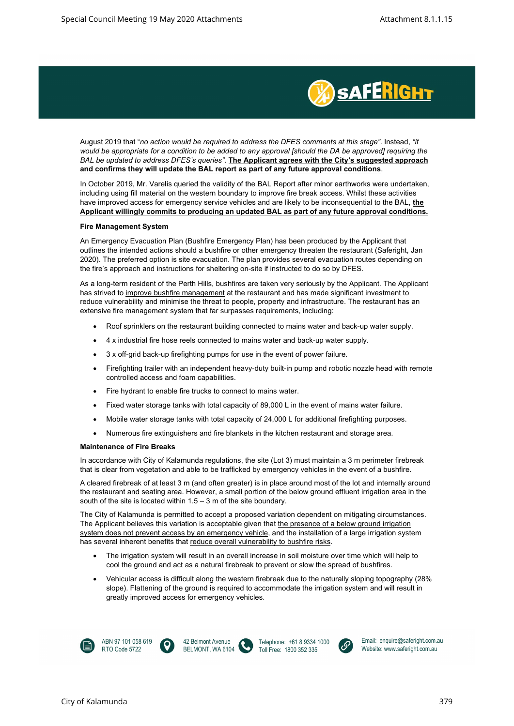

August 2019 that "no action would be required to address the DFES comments at this stage". Instead, "it would be appropriate for a condition to be added to any approval [should the DA be approved] requiring the BAL be updated to address DFES's queries". The Applicant agrees with the City's suggested approach and confirms they will update the BAL report as part of any future approval conditions.

In October 2019, Mr. Varelis queried the validity of the BAL Report after minor earthworks were undertaken, including using fill material on the western boundary to improve fire break access. Whilst these activities have improved access for emergency service vehicles and are likely to be inconsequential to the BAL, the Applicant willingly commits to producing an updated BAL as part of any future approval conditions.

#### Fire Management System

An Emergency Evacuation Plan (Bushfire Emergency Plan) has been produced by the Applicant that outlines the intended actions should a bushfire or other emergency threaten the restaurant (Saferight, Jan 2020). The preferred option is site evacuation. The plan provides several evacuation routes depending on the fire's approach and instructions for sheltering on-site if instructed to do so by DFES.

As a long-term resident of the Perth Hills, bushfires are taken very seriously by the Applicant. The Applicant has strived to improve bushfire management at the restaurant and has made significant investment to reduce vulnerability and minimise the threat to people, property and infrastructure. The restaurant has an extensive fire management system that far surpasses requirements, including:

- Roof sprinklers on the restaurant building connected to mains water and back-up water supply.
- 4 x industrial fire hose reels connected to mains water and back-up water supply.
- 3 x off-grid back-up firefighting pumps for use in the event of power failure.
- Firefighting trailer with an independent heavy-duty built-in pump and robotic nozzle head with remote controlled access and foam capabilities.
- Fire hydrant to enable fire trucks to connect to mains water.
- Fixed water storage tanks with total capacity of 89,000 L in the event of mains water failure.
- Mobile water storage tanks with total capacity of 24,000 L for additional firefighting purposes.
- Numerous fire extinguishers and fire blankets in the kitchen restaurant and storage area.

#### Maintenance of Fire Breaks

In accordance with City of Kalamunda regulations, the site (Lot 3) must maintain a 3 m perimeter firebreak that is clear from vegetation and able to be trafficked by emergency vehicles in the event of a bushfire.

A cleared firebreak of at least 3 m (and often greater) is in place around most of the lot and internally around the restaurant and seating area. However, a small portion of the below ground effluent irrigation area in the south of the site is located within 1.5 – 3 m of the site boundary.

The City of Kalamunda is permitted to accept a proposed variation dependent on mitigating circumstances. The Applicant believes this variation is acceptable given that the presence of a below ground irrigation system does not prevent access by an emergency vehicle, and the installation of a large irrigation system has several inherent benefits that reduce overall vulnerability to bushfire risks.

- The irrigation system will result in an overall increase in soil moisture over time which will help to cool the ground and act as a natural firebreak to prevent or slow the spread of bushfires.
- Vehicular access is difficult along the western firebreak due to the naturally sloping topography (28% slope). Flattening of the ground is required to accommodate the irrigation system and will result in greatly improved access for emergency vehicles.







Telephone: +61 8 9334 1000 Toll Free: 1800 352 335

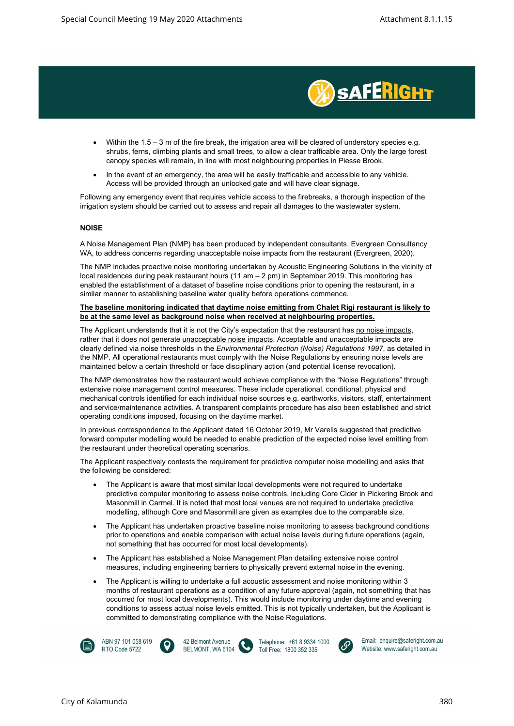

- Within the 1.5 3 m of the fire break, the irrigation area will be cleared of understory species e.g. shrubs, ferns, climbing plants and small trees, to allow a clear trafficable area. Only the large forest canopy species will remain, in line with most neighbouring properties in Piesse Brook.
- In the event of an emergency, the area will be easily trafficable and accessible to any vehicle. Access will be provided through an unlocked gate and will have clear signage.

Following any emergency event that requires vehicle access to the firebreaks, a thorough inspection of the irrigation system should be carried out to assess and repair all damages to the wastewater system.

#### NOISE

A Noise Management Plan (NMP) has been produced by independent consultants, Evergreen Consultancy WA, to address concerns regarding unacceptable noise impacts from the restaurant (Evergreen, 2020).

The NMP includes proactive noise monitoring undertaken by Acoustic Engineering Solutions in the vicinity of local residences during peak restaurant hours (11 am – 2 pm) in September 2019. This monitoring has enabled the establishment of a dataset of baseline noise conditions prior to opening the restaurant, in a similar manner to establishing baseline water quality before operations commence.

#### The baseline monitoring indicated that daytime noise emitting from Chalet Rigi restaurant is likely to be at the same level as background noise when received at neighbouring properties.

The Applicant understands that it is not the City's expectation that the restaurant has no noise impacts, rather that it does not generate **unacceptable noise impacts**. Acceptable and unacceptable impacts are clearly defined via noise thresholds in the Environmental Protection (Noise) Regulations 1997, as detailed in the NMP. All operational restaurants must comply with the Noise Regulations by ensuring noise levels are maintained below a certain threshold or face disciplinary action (and potential license revocation).

The NMP demonstrates how the restaurant would achieve compliance with the "Noise Regulations" through extensive noise management control measures. These include operational, conditional, physical and mechanical controls identified for each individual noise sources e.g. earthworks, visitors, staff, entertainment and service/maintenance activities. A transparent complaints procedure has also been established and strict operating conditions imposed, focusing on the daytime market.

In previous correspondence to the Applicant dated 16 October 2019, Mr Varelis suggested that predictive forward computer modelling would be needed to enable prediction of the expected noise level emitting from the restaurant under theoretical operating scenarios.

The Applicant respectively contests the requirement for predictive computer noise modelling and asks that the following be considered:

- The Applicant is aware that most similar local developments were not required to undertake predictive computer monitoring to assess noise controls, including Core Cider in Pickering Brook and Masonmill in Carmel. It is noted that most local venues are not required to undertake predictive modelling, although Core and Masonmill are given as examples due to the comparable size.
- The Applicant has undertaken proactive baseline noise monitoring to assess background conditions prior to operations and enable comparison with actual noise levels during future operations (again, not something that has occurred for most local developments).
- The Applicant has established a Noise Management Plan detailing extensive noise control measures, including engineering barriers to physically prevent external noise in the evening.
- The Applicant is willing to undertake a full acoustic assessment and noise monitoring within 3 months of restaurant operations as a condition of any future approval (again, not something that has occurred for most local developments). This would include monitoring under daytime and evening conditions to assess actual noise levels emitted. This is not typically undertaken, but the Applicant is committed to demonstrating compliance with the Noise Regulations.







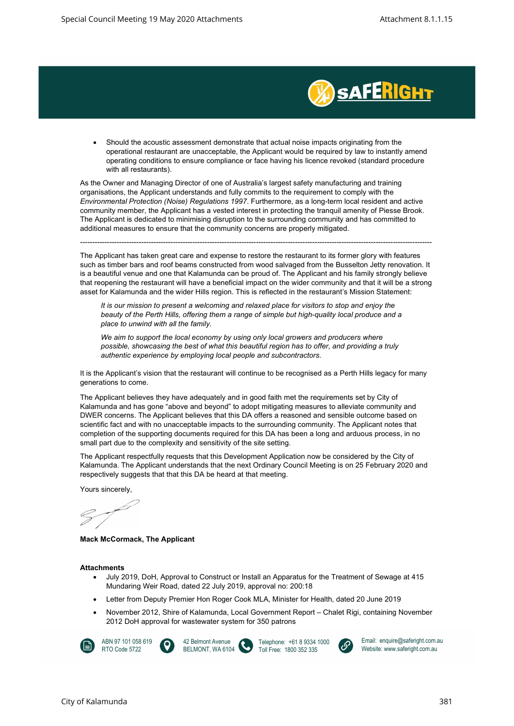

 Should the acoustic assessment demonstrate that actual noise impacts originating from the operational restaurant are unacceptable, the Applicant would be required by law to instantly amend operating conditions to ensure compliance or face having his licence revoked (standard procedure with all restaurants).

As the Owner and Managing Director of one of Australia's largest safety manufacturing and training organisations, the Applicant understands and fully commits to the requirement to comply with the Environmental Protection (Noise) Regulations 1997. Furthermore, as a long-term local resident and active community member, the Applicant has a vested interest in protecting the tranquil amenity of Piesse Brook. The Applicant is dedicated to minimising disruption to the surrounding community and has committed to additional measures to ensure that the community concerns are properly mitigated.

------------------------------------------------------------------------------------------------------------------------------------------------

The Applicant has taken great care and expense to restore the restaurant to its former glory with features such as timber bars and roof beams constructed from wood salvaged from the Busselton Jetty renovation. It is a beautiful venue and one that Kalamunda can be proud of. The Applicant and his family strongly believe that reopening the restaurant will have a beneficial impact on the wider community and that it will be a strong asset for Kalamunda and the wider Hills region. This is reflected in the restaurant's Mission Statement:

It is our mission to present a welcoming and relaxed place for visitors to stop and enjoy the beauty of the Perth Hills, offering them a range of simple but high-quality local produce and a place to unwind with all the family.

We aim to support the local economy by using only local growers and producers where possible, showcasing the best of what this beautiful region has to offer, and providing a truly authentic experience by employing local people and subcontractors.

It is the Applicant's vision that the restaurant will continue to be recognised as a Perth Hills legacy for many generations to come.

The Applicant believes they have adequately and in good faith met the requirements set by City of Kalamunda and has gone "above and beyond" to adopt mitigating measures to alleviate community and DWER concerns. The Applicant believes that this DA offers a reasoned and sensible outcome based on scientific fact and with no unacceptable impacts to the surrounding community. The Applicant notes that completion of the supporting documents required for this DA has been a long and arduous process, in no small part due to the complexity and sensitivity of the site setting.

The Applicant respectfully requests that this Development Application now be considered by the City of Kalamunda. The Applicant understands that the next Ordinary Council Meeting is on 25 February 2020 and respectively suggests that that this DA be heard at that meeting.

Yours sincerely,

Mack McCormack, The Applicant

#### **Attachments**

- July 2019, DoH, Approval to Construct or Install an Apparatus for the Treatment of Sewage at 415 Mundaring Weir Road, dated 22 July 2019, approval no: 200:18
- Letter from Deputy Premier Hon Roger Cook MLA, Minister for Health, dated 20 June 2019
- November 2012, Shire of Kalamunda, Local Government Report Chalet Rigi, containing November 2012 DoH approval for wastewater system for 350 patrons

![](_page_7_Picture_19.jpeg)

ABN 97 101 058 619 RTO Code 5722

![](_page_7_Picture_21.jpeg)

Telephone: +61 8 9334 1000 Toll Free: 1800 352 335

![](_page_7_Picture_23.jpeg)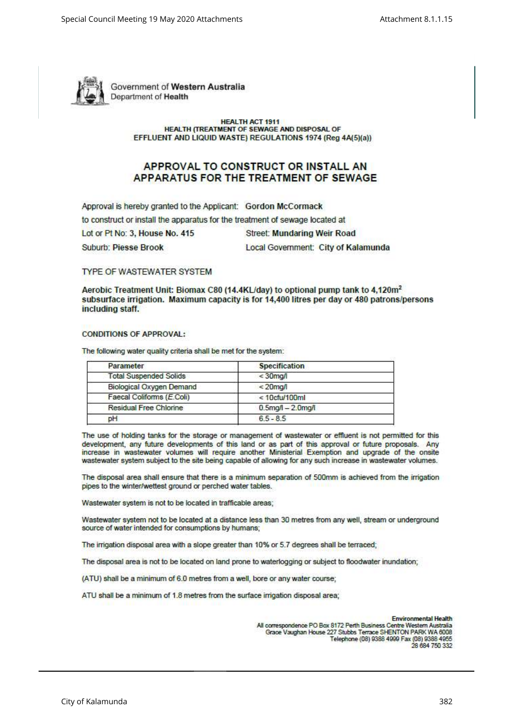![](_page_8_Picture_2.jpeg)

Government of Western Australia Department of Health

> **HEALTH ACT 1911 HEALTH (TREATMENT OF SEWAGE AND DISPOSAL OF** EFFLUENT AND LIQUID WASTE) REGULATIONS 1974 (Reg 4A(5)(a))

# APPROVAL TO CONSTRUCT OR INSTALL AN APPARATUS FOR THE TREATMENT OF SEWAGE

Approval is hereby granted to the Applicant: Gordon McCormack to construct or install the apparatus for the treatment of sewage located at Lot or Pt No: 3, House No. 415 **Street: Mundaring Weir Road Suburb: Piesse Brook** Local Government: City of Kalamunda

## **TYPE OF WASTEWATER SYSTEM**

Aerobic Treatment Unit: Biomax C80 (14.4KL/day) to optional pump tank to 4.120m<sup>2</sup> subsurface irrigation. Maximum capacity is for 14,400 litres per day or 480 patrons/persons including staff.

#### **CONDITIONS OF APPROVAL:**

The following water quality criteria shall be met for the system:

| Parameter                       | <b>Specification</b>    |  |
|---------------------------------|-------------------------|--|
| <b>Total Suspended Solids</b>   | $<$ 30 $mq/$            |  |
| <b>Biological Oxygen Demand</b> | $< 20$ mg/              |  |
| Faecal Coliforms (E.Coli)       | $< 10$ cfu/100ml        |  |
| Residual Free Chlorine          | $0.5$ mg/l $- 2.0$ mg/l |  |
| pH                              | $6.5 - 8.5$             |  |
|                                 |                         |  |

The use of holding tanks for the storage or management of wastewater or effluent is not permitted for this development, any future developments of this land or as part of this approval or future proposals. Any increase in wastewater volumes will require another Ministerial Exemption and upgrade of the onsite wastewater system subject to the site being capable of allowing for any such increase in wastewater volumes.

The disposal area shall ensure that there is a minimum separation of 500mm is achieved from the irrigation pipes to the winter/wettest ground or perched water tables.

Wastewater system is not to be located in trafficable areas;

Wastewater system not to be located at a distance less than 30 metres from any well, stream or underground source of water intended for consumptions by humans;

The irrigation disposal area with a slope greater than 10% or 5.7 degrees shall be terraced;

The disposal area is not to be located on land prone to waterlogging or subject to floodwater inundation;

(ATU) shall be a minimum of 6.0 metres from a well, bore or any water course;

ATU shall be a minimum of 1.8 metres from the surface irrigation disposal area;

**Environmental Health** All correspondence PO Box 8172 Perth Business Centre Western Australia Grace Vaughan House 227 Stubbs Terrace SHENTON PARK WA 6008 Telephone (08) 9388 4999 Fax (08) 9388 4955 28 684 750 332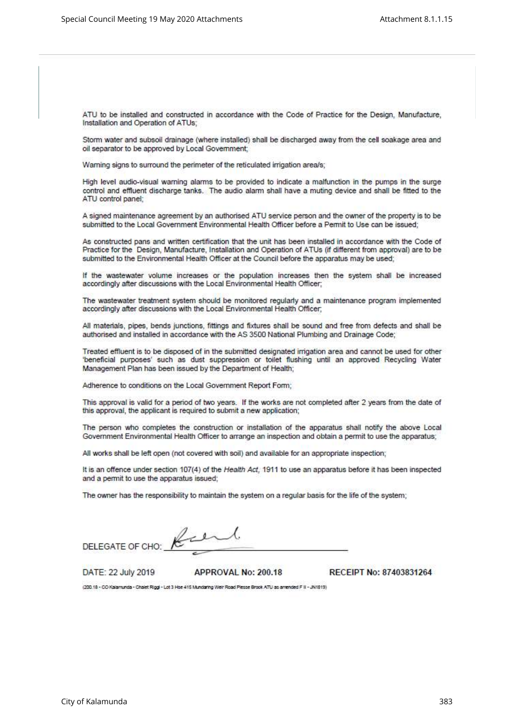ATU to be installed and constructed in accordance with the Code of Practice for the Design, Manufacture, Installation and Operation of ATUs;

Storm water and subsoil drainage (where installed) shall be discharged away from the cell soakage area and oil separator to be approved by Local Government;

Warning signs to surround the perimeter of the reticulated irrigation area/s;

High level audio-visual warning alarms to be provided to indicate a malfunction in the pumps in the surge control and effluent discharge tanks. The audio alarm shall have a muting device and shall be fitted to the ATU control panel;

A signed maintenance agreement by an authorised ATU service person and the owner of the property is to be submitted to the Local Government Environmental Health Officer before a Permit to Use can be issued:

As constructed pans and written certification that the unit has been installed in accordance with the Code of Practice for the Design, Manufacture, Installation and Operation of ATUs (if different from approval) are to be submitted to the Environmental Health Officer at the Council before the apparatus may be used;

If the wastewater volume increases or the population increases then the system shall be increased accordingly after discussions with the Local Environmental Health Officer;

The wastewater treatment system should be monitored regularly and a maintenance program implemented accordingly after discussions with the Local Environmental Health Officer;

All materials, pipes, bends junctions, fittings and fixtures shall be sound and free from defects and shall be authorised and installed in accordance with the AS 3500 National Plumbing and Drainage Code;

Treated effluent is to be disposed of in the submitted designated irrigation area and cannot be used for other 'beneficial purposes' such as dust suppression or toilet flushing until an approved Recycling Water Management Plan has been issued by the Department of Health;

Adherence to conditions on the Local Government Report Form;

This approval is valid for a period of two years. If the works are not completed after 2 years from the date of this approval, the applicant is required to submit a new application;

The person who completes the construction or installation of the apparatus shall notify the above Local Government Environmental Health Officer to arrange an inspection and obtain a permit to use the apparatus;

All works shall be left open (not covered with soil) and available for an appropriate inspection:

It is an offence under section 107(4) of the Health Act: 1911 to use an apparatus before it has been inspected and a permit to use the apparatus issued:

The owner has the responsibility to maintain the system on a regular basis for the life of the system;

Rul DELEGATE OF CHO:

DATE: 22 July 2019

APPROVAL No: 200.18

RECEIPT No: 87403831264

(200.18 - CO Kalamunda - Chalet Riggl - Lot 3 Hoe 415 Mundaring Weir Road Plesse Brook ATU as amended F II - JN1819)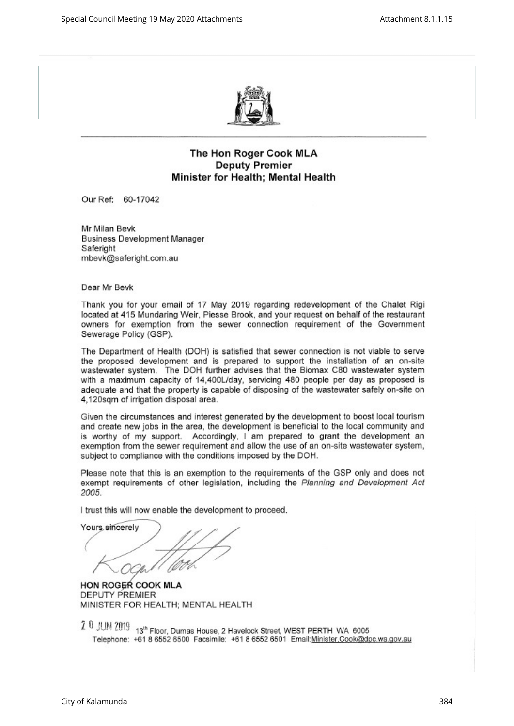![](_page_10_Picture_2.jpeg)

# The Hon Roger Cook MLA **Deputy Premier** Minister for Health; Mental Health

Our Ref: 60-17042

Mr Milan Bevk **Business Development Manager** Saferight mbevk@saferight.com.au

Dear Mr Bevk

Thank you for your email of 17 May 2019 regarding redevelopment of the Chalet Rigi located at 415 Mundaring Weir, Piesse Brook, and your request on behalf of the restaurant owners for exemption from the sewer connection requirement of the Government Sewerage Policy (GSP).

The Department of Health (DOH) is satisfied that sewer connection is not viable to serve the proposed development and is prepared to support the installation of an on-site wastewater system. The DOH further advises that the Biomax C80 wastewater system with a maximum capacity of 14,400L/day, servicing 480 people per day as proposed is adequate and that the property is capable of disposing of the wastewater safely on-site on 4,120sqm of irrigation disposal area.

Given the circumstances and interest generated by the development to boost local tourism and create new jobs in the area, the development is beneficial to the local community and is worthy of my support. Accordingly, I am prepared to grant the development an exemption from the sewer requirement and allow the use of an on-site wastewater system, subject to compliance with the conditions imposed by the DOH.

Please note that this is an exemption to the requirements of the GSP only and does not exempt requirements of other legislation, including the Planning and Development Act 2005.

I trust this will now enable the development to proceed.

Yours sincerely

**HON ROGER COOK MLA** DEPUTY PREMIER MINISTER FOR HEALTH; MENTAL HEALTH

lephone: +61 8 6552 6500 Facsimile: +61 8 6552 6501 Email:<u>Minister.Cook@dpc.wa.gov.au</u>